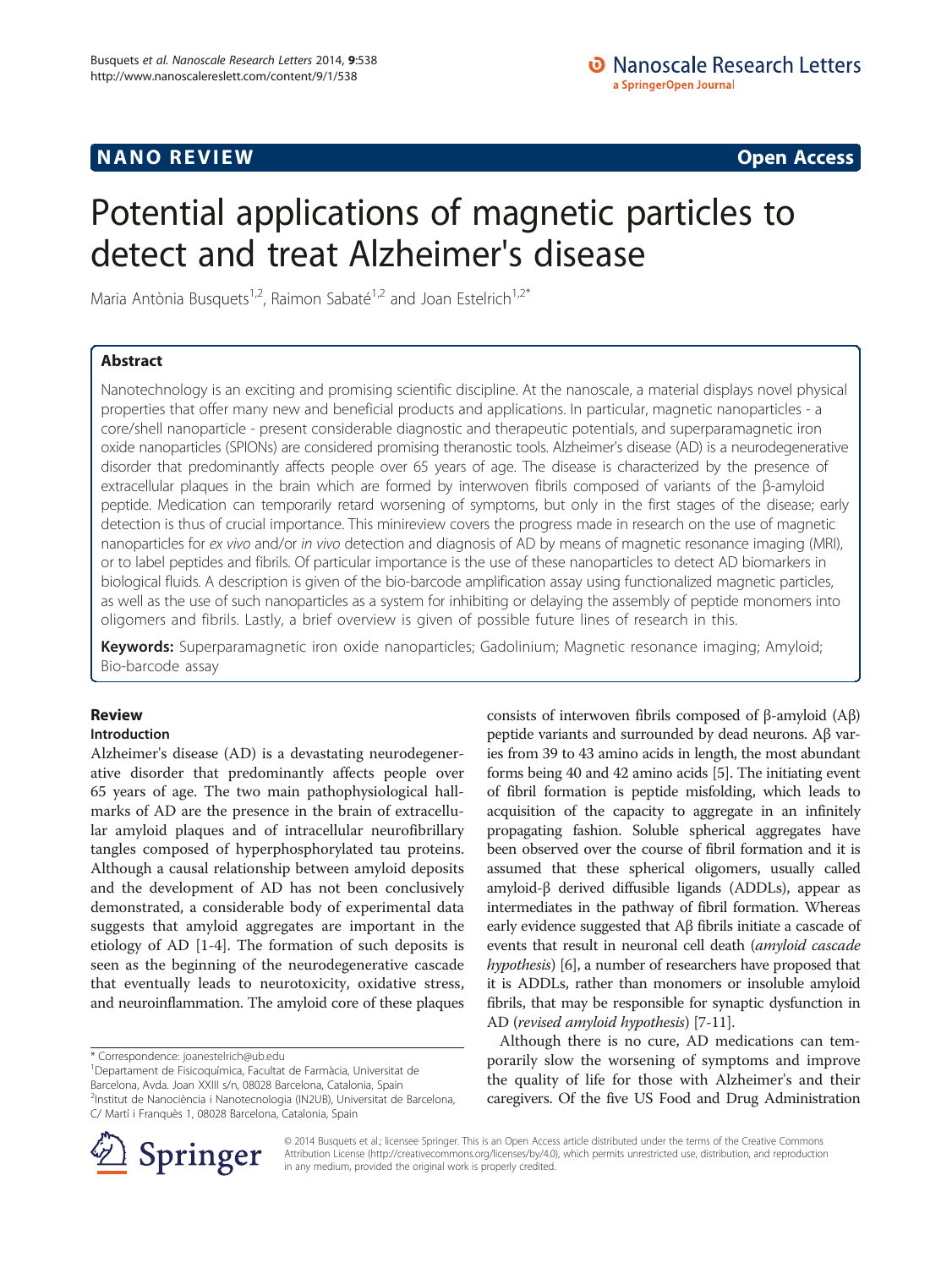# NAN O R EVI EW OPEN ACCESS OF THE EW OPEN ACCESS OF THE EWO CARD TO A REPORT OF THE EXPLORATION OF THE EXPLORATION

# Potential applications of magnetic particles to detect and treat Alzheimer's disease

Maria Antònia Busquets<sup>1,2</sup>, Raimon Sabaté<sup>1,2</sup> and Joan Estelrich<sup>1,2\*</sup>

# **Abstract**

Nanotechnology is an exciting and promising scientific discipline. At the nanoscale, a material displays novel physical properties that offer many new and beneficial products and applications. In particular, magnetic nanoparticles - a core/shell nanoparticle - present considerable diagnostic and therapeutic potentials, and superparamagnetic iron oxide nanoparticles (SPIONs) are considered promising theranostic tools. Alzheimer's disease (AD) is a neurodegenerative disorder that predominantly affects people over 65 years of age. The disease is characterized by the presence of extracellular plaques in the brain which are formed by interwoven fibrils composed of variants of the β-amyloid peptide. Medication can temporarily retard worsening of symptoms, but only in the first stages of the disease; early detection is thus of crucial importance. This minireview covers the progress made in research on the use of magnetic nanoparticles for ex vivo and/or in vivo detection and diagnosis of AD by means of magnetic resonance imaging (MRI), or to label peptides and fibrils. Of particular importance is the use of these nanoparticles to detect AD biomarkers in biological fluids. A description is given of the bio-barcode amplification assay using functionalized magnetic particles, as well as the use of such nanoparticles as a system for inhibiting or delaying the assembly of peptide monomers into oligomers and fibrils. Lastly, a brief overview is given of possible future lines of research in this.

Keywords: Superparamagnetic iron oxide nanoparticles; Gadolinium; Magnetic resonance imaging; Amyloid; Bio-barcode assay

# **Review**

# Introduction

Alzheimer's disease (AD) is a devastating neurodegenerative disorder that predominantly affects people over 65 years of age. The two main pathophysiological hallmarks of AD are the presence in the brain of extracellular amyloid plaques and of intracellular neurofibrillary tangles composed of hyperphosphorylated tau proteins. Although a causal relationship between amyloid deposits and the development of AD has not been conclusively demonstrated, a considerable body of experimental data suggests that amyloid aggregates are important in the etiology of AD [[1-4\]](#page-8-0). The formation of such deposits is seen as the beginning of the neurodegenerative cascade that eventually leads to neurotoxicity, oxidative stress, and neuroinflammation. The amyloid core of these plaques

\* Correspondence: [joanestelrich@ub.edu](mailto:joanestelrich@ub.edu) <sup>1</sup>

Departament de Fisicoquímica, Facultat de Farmàcia, Universitat de Barcelona, Avda. Joan XXIII s/n, 08028 Barcelona, Catalonia, Spain

<sup>2</sup>Institut de Nanociència i Nanotecnologia (IN2UB), Universitat de Barcelona, C/ Martí i Franquès 1, 08028 Barcelona, Catalonia, Spain

consists of interwoven fibrils composed of β-amyloid (Aβ) peptide variants and surrounded by dead neurons. Aβ varies from 39 to 43 amino acids in length, the most abundant forms being 40 and 42 amino acids [[5](#page-8-0)]. The initiating event of fibril formation is peptide misfolding, which leads to acquisition of the capacity to aggregate in an infinitely propagating fashion. Soluble spherical aggregates have been observed over the course of fibril formation and it is assumed that these spherical oligomers, usually called amyloid-β derived diffusible ligands (ADDLs), appear as intermediates in the pathway of fibril formation. Whereas early evidence suggested that Aβ fibrils initiate a cascade of events that result in neuronal cell death (amyloid cascade hypothesis) [\[6](#page-8-0)], a number of researchers have proposed that it is ADDLs, rather than monomers or insoluble amyloid fibrils, that may be responsible for synaptic dysfunction in AD (revised amyloid hypothesis) [\[7-11\]](#page-8-0).

Although there is no cure, AD medications can temporarily slow the worsening of symptoms and improve the quality of life for those with Alzheimer's and their caregivers. Of the five US Food and Drug Administration



© 2014 Busquets et al.; licensee Springer. This is an Open Access article distributed under the terms of the Creative Commons Attribution License [\(http://creativecommons.org/licenses/by/4.0\)](http://creativecommons.org/licenses/by/4.0), which permits unrestricted use, distribution, and reproduction in any medium, provided the original work is properly credited.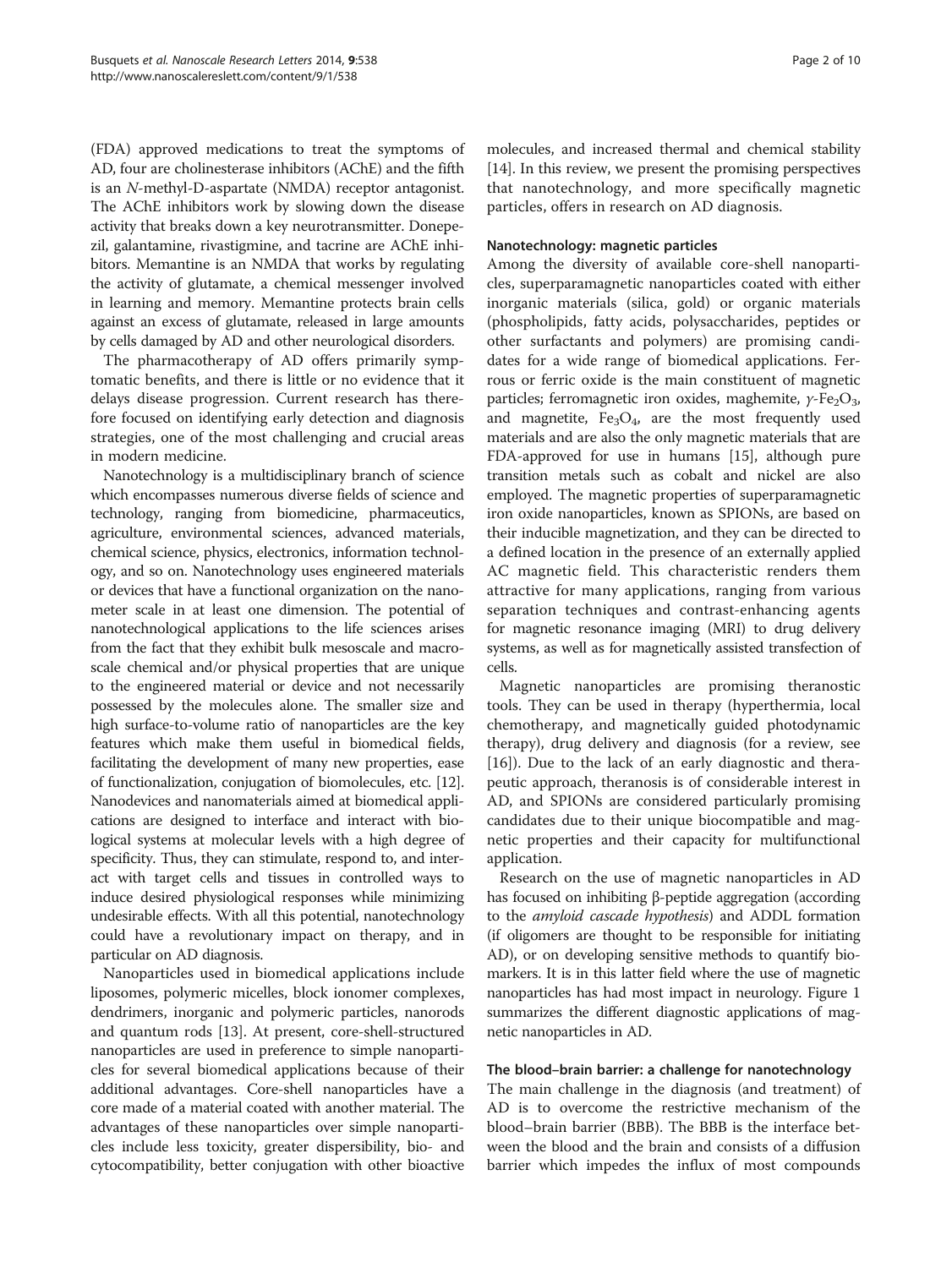(FDA) approved medications to treat the symptoms of AD, four are cholinesterase inhibitors (AChE) and the fifth is an N-methyl-D-aspartate (NMDA) receptor antagonist. The AChE inhibitors work by slowing down the disease activity that breaks down a key neurotransmitter. Donepezil, galantamine, rivastigmine, and tacrine are AChE inhibitors. Memantine is an NMDA that works by regulating the activity of glutamate, a chemical messenger involved in learning and memory. Memantine protects brain cells against an excess of glutamate, released in large amounts by cells damaged by AD and other neurological disorders.

The pharmacotherapy of AD offers primarily symptomatic benefits, and there is little or no evidence that it delays disease progression. Current research has therefore focused on identifying early detection and diagnosis strategies, one of the most challenging and crucial areas in modern medicine.

Nanotechnology is a multidisciplinary branch of science which encompasses numerous diverse fields of science and technology, ranging from biomedicine, pharmaceutics, agriculture, environmental sciences, advanced materials, chemical science, physics, electronics, information technology, and so on. Nanotechnology uses engineered materials or devices that have a functional organization on the nanometer scale in at least one dimension. The potential of nanotechnological applications to the life sciences arises from the fact that they exhibit bulk mesoscale and macroscale chemical and/or physical properties that are unique to the engineered material or device and not necessarily possessed by the molecules alone. The smaller size and high surface-to-volume ratio of nanoparticles are the key features which make them useful in biomedical fields, facilitating the development of many new properties, ease of functionalization, conjugation of biomolecules, etc. [\[12](#page-8-0)]. Nanodevices and nanomaterials aimed at biomedical applications are designed to interface and interact with biological systems at molecular levels with a high degree of specificity. Thus, they can stimulate, respond to, and interact with target cells and tissues in controlled ways to induce desired physiological responses while minimizing undesirable effects. With all this potential, nanotechnology could have a revolutionary impact on therapy, and in particular on AD diagnosis.

Nanoparticles used in biomedical applications include liposomes, polymeric micelles, block ionomer complexes, dendrimers, inorganic and polymeric particles, nanorods and quantum rods [[13](#page-8-0)]. At present, core-shell-structured nanoparticles are used in preference to simple nanoparticles for several biomedical applications because of their additional advantages. Core-shell nanoparticles have a core made of a material coated with another material. The advantages of these nanoparticles over simple nanoparticles include less toxicity, greater dispersibility, bio- and cytocompatibility, better conjugation with other bioactive molecules, and increased thermal and chemical stability [[14](#page-8-0)]. In this review, we present the promising perspectives that nanotechnology, and more specifically magnetic particles, offers in research on AD diagnosis.

# Nanotechnology: magnetic particles

Among the diversity of available core-shell nanoparticles, superparamagnetic nanoparticles coated with either inorganic materials (silica, gold) or organic materials (phospholipids, fatty acids, polysaccharides, peptides or other surfactants and polymers) are promising candidates for a wide range of biomedical applications. Ferrous or ferric oxide is the main constituent of magnetic particles; ferromagnetic iron oxides, maghemite,  $\gamma$ -Fe<sub>2</sub>O<sub>3</sub>, and magnetite,  $Fe<sub>3</sub>O<sub>4</sub>$ , are the most frequently used materials and are also the only magnetic materials that are FDA-approved for use in humans [\[15\]](#page-8-0), although pure transition metals such as cobalt and nickel are also employed. The magnetic properties of superparamagnetic iron oxide nanoparticles, known as SPIONs, are based on their inducible magnetization, and they can be directed to a defined location in the presence of an externally applied AC magnetic field. This characteristic renders them attractive for many applications, ranging from various separation techniques and contrast-enhancing agents for magnetic resonance imaging (MRI) to drug delivery systems, as well as for magnetically assisted transfection of cells.

Magnetic nanoparticles are promising theranostic tools. They can be used in therapy (hyperthermia, local chemotherapy, and magnetically guided photodynamic therapy), drug delivery and diagnosis (for a review, see [[16\]](#page-8-0)). Due to the lack of an early diagnostic and therapeutic approach, theranosis is of considerable interest in AD, and SPIONs are considered particularly promising candidates due to their unique biocompatible and magnetic properties and their capacity for multifunctional application.

Research on the use of magnetic nanoparticles in AD has focused on inhibiting β-peptide aggregation (according to the amyloid cascade hypothesis) and ADDL formation (if oligomers are thought to be responsible for initiating AD), or on developing sensitive methods to quantify biomarkers. It is in this latter field where the use of magnetic nanoparticles has had most impact in neurology. Figure [1](#page-2-0) summarizes the different diagnostic applications of magnetic nanoparticles in AD.

# The blood–brain barrier: a challenge for nanotechnology

The main challenge in the diagnosis (and treatment) of AD is to overcome the restrictive mechanism of the blood–brain barrier (BBB). The BBB is the interface between the blood and the brain and consists of a diffusion barrier which impedes the influx of most compounds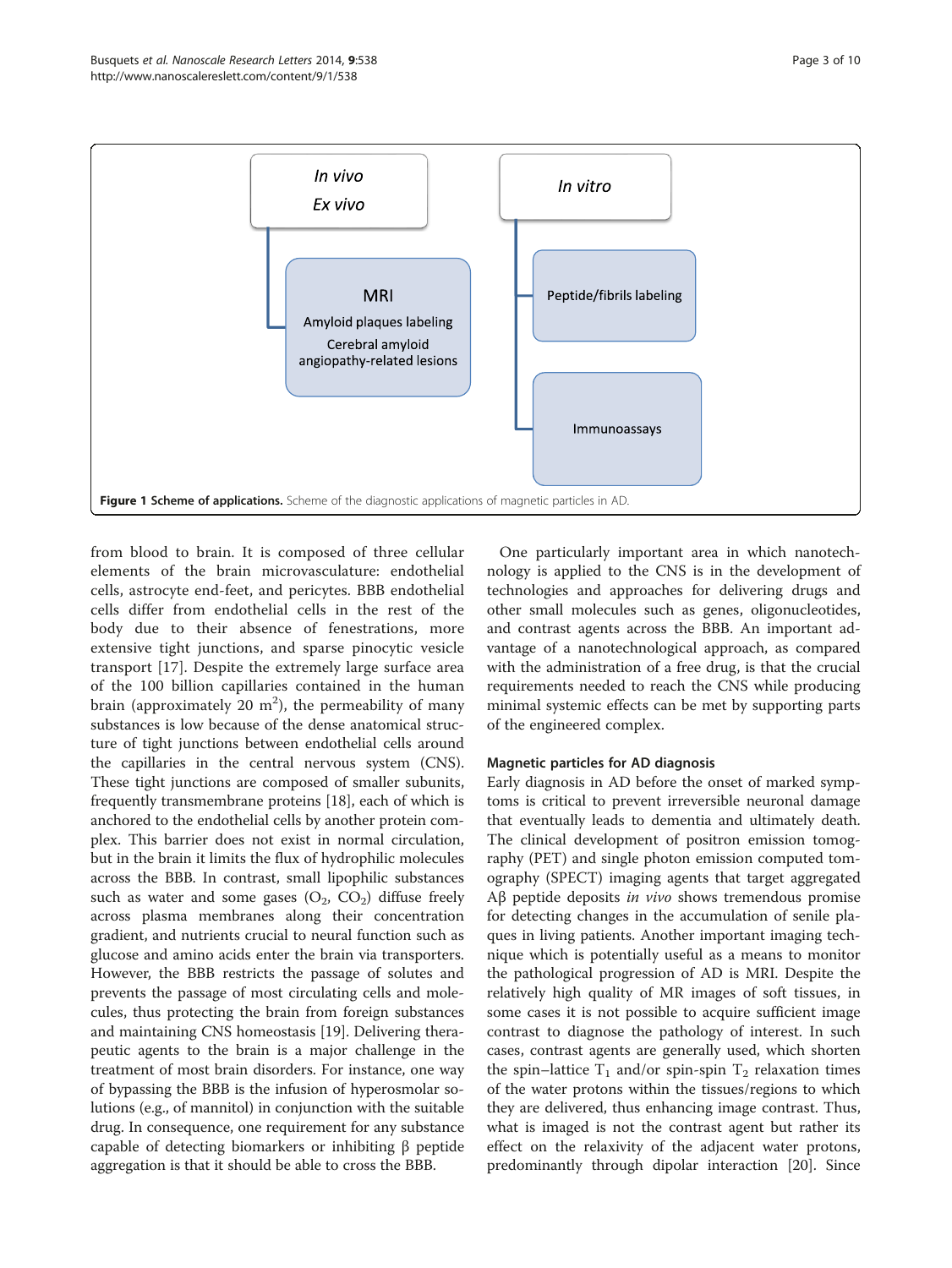<span id="page-2-0"></span>

from blood to brain. It is composed of three cellular elements of the brain microvasculature: endothelial cells, astrocyte end-feet, and pericytes. BBB endothelial cells differ from endothelial cells in the rest of the body due to their absence of fenestrations, more extensive tight junctions, and sparse pinocytic vesicle transport [[17\]](#page-8-0). Despite the extremely large surface area of the 100 billion capillaries contained in the human brain (approximately 20  $m^2$ ), the permeability of many substances is low because of the dense anatomical structure of tight junctions between endothelial cells around the capillaries in the central nervous system (CNS). These tight junctions are composed of smaller subunits, frequently transmembrane proteins [[18\]](#page-8-0), each of which is anchored to the endothelial cells by another protein complex. This barrier does not exist in normal circulation, but in the brain it limits the flux of hydrophilic molecules across the BBB. In contrast, small lipophilic substances such as water and some gases  $(O_2, CO_2)$  diffuse freely across plasma membranes along their concentration gradient, and nutrients crucial to neural function such as glucose and amino acids enter the brain via transporters. However, the BBB restricts the passage of solutes and prevents the passage of most circulating cells and molecules, thus protecting the brain from foreign substances and maintaining CNS homeostasis [[19](#page-8-0)]. Delivering therapeutic agents to the brain is a major challenge in the treatment of most brain disorders. For instance, one way of bypassing the BBB is the infusion of hyperosmolar solutions (e.g., of mannitol) in conjunction with the suitable drug. In consequence, one requirement for any substance capable of detecting biomarkers or inhibiting β peptide aggregation is that it should be able to cross the BBB.

One particularly important area in which nanotechnology is applied to the CNS is in the development of technologies and approaches for delivering drugs and other small molecules such as genes, oligonucleotides, and contrast agents across the BBB. An important advantage of a nanotechnological approach, as compared with the administration of a free drug, is that the crucial requirements needed to reach the CNS while producing minimal systemic effects can be met by supporting parts of the engineered complex.

# Magnetic particles for AD diagnosis

Early diagnosis in AD before the onset of marked symptoms is critical to prevent irreversible neuronal damage that eventually leads to dementia and ultimately death. The clinical development of positron emission tomography (PET) and single photon emission computed tomography (SPECT) imaging agents that target aggregated Aβ peptide deposits *in vivo* shows tremendous promise for detecting changes in the accumulation of senile plaques in living patients. Another important imaging technique which is potentially useful as a means to monitor the pathological progression of AD is MRI. Despite the relatively high quality of MR images of soft tissues, in some cases it is not possible to acquire sufficient image contrast to diagnose the pathology of interest. In such cases, contrast agents are generally used, which shorten the spin–lattice  $T_1$  and/or spin-spin  $T_2$  relaxation times of the water protons within the tissues/regions to which they are delivered, thus enhancing image contrast. Thus, what is imaged is not the contrast agent but rather its effect on the relaxivity of the adjacent water protons, predominantly through dipolar interaction [[20\]](#page-8-0). Since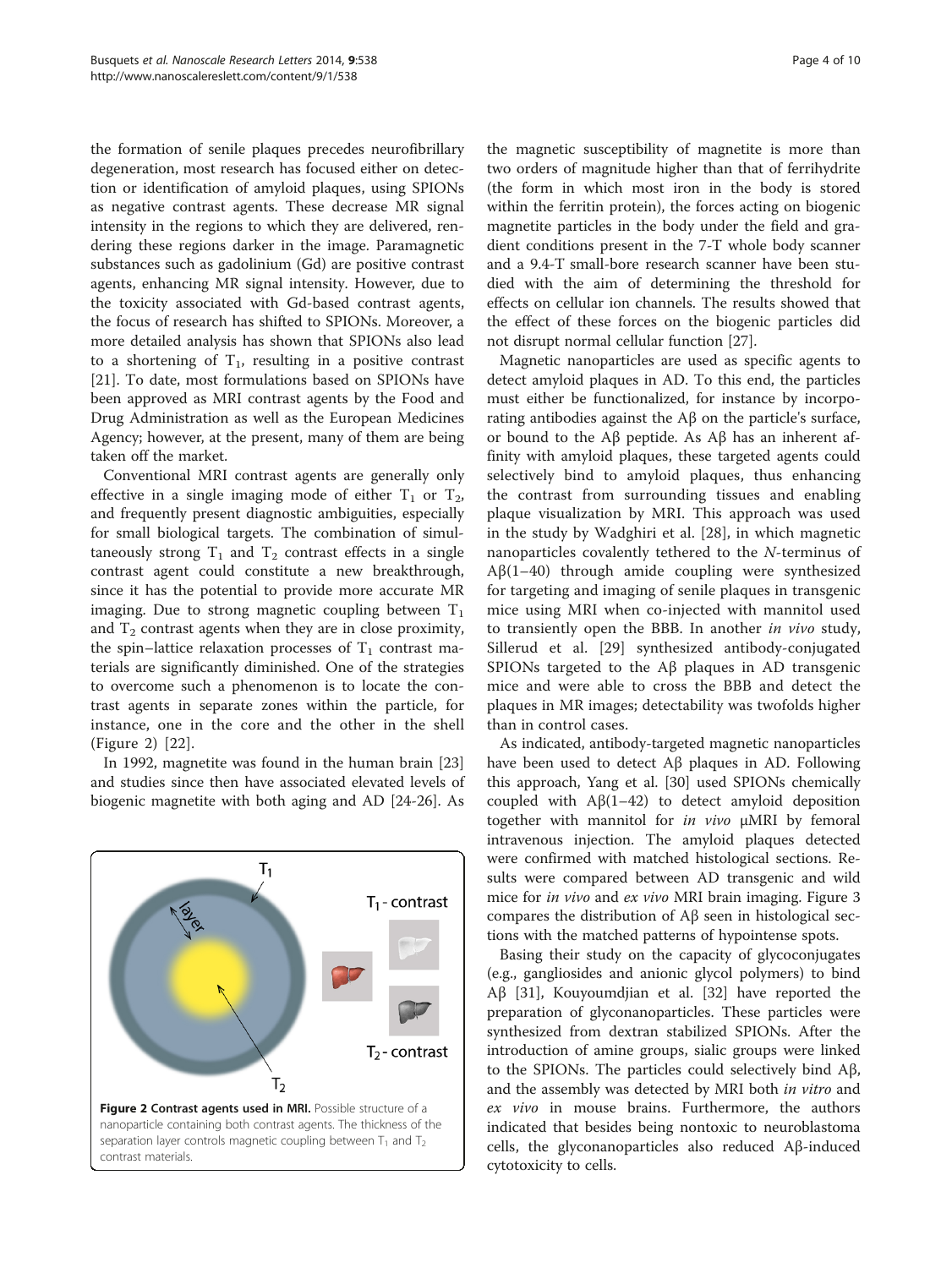the formation of senile plaques precedes neurofibrillary degeneration, most research has focused either on detection or identification of amyloid plaques, using SPIONs as negative contrast agents. These decrease MR signal intensity in the regions to which they are delivered, rendering these regions darker in the image. Paramagnetic substances such as gadolinium (Gd) are positive contrast agents, enhancing MR signal intensity. However, due to the toxicity associated with Gd-based contrast agents, the focus of research has shifted to SPIONs. Moreover, a more detailed analysis has shown that SPIONs also lead to a shortening of  $T_1$ , resulting in a positive contrast [[21\]](#page-8-0). To date, most formulations based on SPIONs have been approved as MRI contrast agents by the Food and Drug Administration as well as the European Medicines Agency; however, at the present, many of them are being taken off the market.

Conventional MRI contrast agents are generally only effective in a single imaging mode of either  $T_1$  or  $T_2$ , and frequently present diagnostic ambiguities, especially for small biological targets. The combination of simultaneously strong  $T_1$  and  $T_2$  contrast effects in a single contrast agent could constitute a new breakthrough, since it has the potential to provide more accurate MR imaging. Due to strong magnetic coupling between  $T_1$ and  $T_2$  contrast agents when they are in close proximity, the spin–lattice relaxation processes of  $T_1$  contrast materials are significantly diminished. One of the strategies to overcome such a phenomenon is to locate the contrast agents in separate zones within the particle, for instance, one in the core and the other in the shell (Figure 2) [\[22](#page-8-0)].

In 1992, magnetite was found in the human brain [[23](#page-8-0)] and studies since then have associated elevated levels of biogenic magnetite with both aging and AD [[24](#page-8-0)-[26\]](#page-8-0). As



the magnetic susceptibility of magnetite is more than two orders of magnitude higher than that of ferrihydrite (the form in which most iron in the body is stored within the ferritin protein), the forces acting on biogenic magnetite particles in the body under the field and gradient conditions present in the 7-T whole body scanner and a 9.4-T small-bore research scanner have been studied with the aim of determining the threshold for effects on cellular ion channels. The results showed that the effect of these forces on the biogenic particles did not disrupt normal cellular function [[27\]](#page-8-0).

Magnetic nanoparticles are used as specific agents to detect amyloid plaques in AD. To this end, the particles must either be functionalized, for instance by incorporating antibodies against the Aβ on the particle's surface, or bound to the Aβ peptide. As Aβ has an inherent affinity with amyloid plaques, these targeted agents could selectively bind to amyloid plaques, thus enhancing the contrast from surrounding tissues and enabling plaque visualization by MRI. This approach was used in the study by Wadghiri et al. [[28\]](#page-8-0), in which magnetic nanoparticles covalently tethered to the N-terminus of  $A\beta(1-40)$  through amide coupling were synthesized for targeting and imaging of senile plaques in transgenic mice using MRI when co-injected with mannitol used to transiently open the BBB. In another in vivo study, Sillerud et al. [\[29](#page-8-0)] synthesized antibody-conjugated SPIONs targeted to the Aβ plaques in AD transgenic mice and were able to cross the BBB and detect the plaques in MR images; detectability was twofolds higher than in control cases.

As indicated, antibody-targeted magnetic nanoparticles have been used to detect Aβ plaques in AD. Following this approach, Yang et al. [\[30\]](#page-8-0) used SPIONs chemically coupled with  $A\beta(1-42)$  to detect amyloid deposition together with mannitol for in vivo μMRI by femoral intravenous injection. The amyloid plaques detected were confirmed with matched histological sections. Results were compared between AD transgenic and wild mice for in vivo and ex vivo MRI brain imaging. Figure [3](#page-4-0) compares the distribution of Aβ seen in histological sections with the matched patterns of hypointense spots.

Basing their study on the capacity of glycoconjugates (e.g., gangliosides and anionic glycol polymers) to bind Aβ [[31](#page-8-0)], Kouyoumdjian et al. [[32\]](#page-8-0) have reported the preparation of glyconanoparticles. These particles were synthesized from dextran stabilized SPIONs. After the introduction of amine groups, sialic groups were linked to the SPIONs. The particles could selectively bind Aβ, and the assembly was detected by MRI both *in vitro* and ex vivo in mouse brains. Furthermore, the authors indicated that besides being nontoxic to neuroblastoma cells, the glyconanoparticles also reduced Aβ-induced cytotoxicity to cells.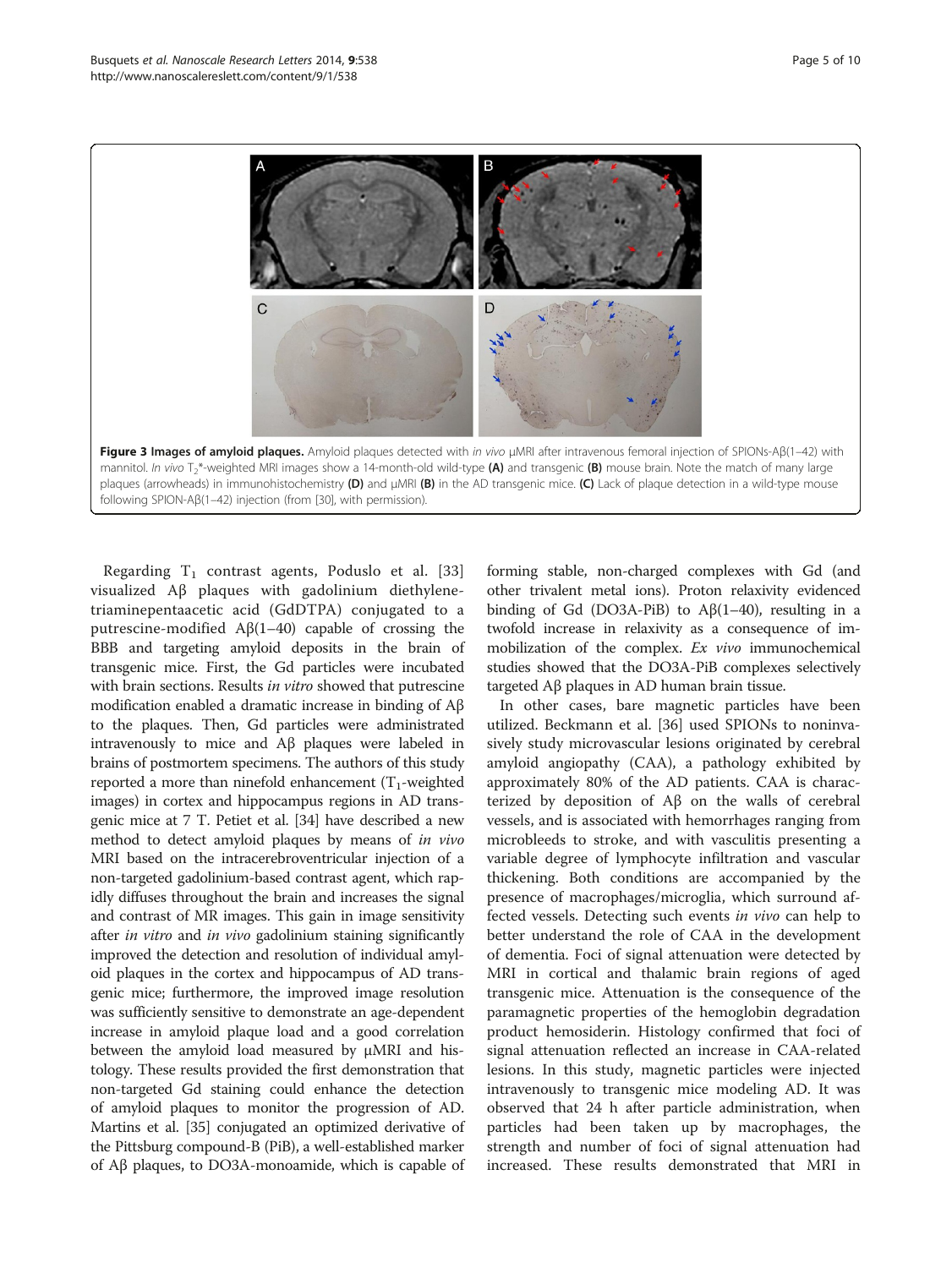<span id="page-4-0"></span>

Regarding  $T_1$  contrast agents, Poduslo et al. [\[33](#page-8-0)] visualized Aβ plaques with gadolinium diethylenetriaminepentaacetic acid (GdDTPA) conjugated to a putrescine-modified Aβ(1–40) capable of crossing the BBB and targeting amyloid deposits in the brain of transgenic mice. First, the Gd particles were incubated with brain sections. Results in vitro showed that putrescine modification enabled a dramatic increase in binding of Aβ to the plaques. Then, Gd particles were administrated intravenously to mice and Aβ plaques were labeled in brains of postmortem specimens. The authors of this study reported a more than ninefold enhancement  $(T_1$ -weighted images) in cortex and hippocampus regions in AD transgenic mice at 7 T. Petiet et al. [\[34\]](#page-8-0) have described a new method to detect amyloid plaques by means of in vivo MRI based on the intracerebroventricular injection of a non-targeted gadolinium-based contrast agent, which rapidly diffuses throughout the brain and increases the signal and contrast of MR images. This gain in image sensitivity after *in vitro* and *in vivo* gadolinium staining significantly improved the detection and resolution of individual amyloid plaques in the cortex and hippocampus of AD transgenic mice; furthermore, the improved image resolution was sufficiently sensitive to demonstrate an age-dependent increase in amyloid plaque load and a good correlation between the amyloid load measured by μMRI and histology. These results provided the first demonstration that non-targeted Gd staining could enhance the detection of amyloid plaques to monitor the progression of AD. Martins et al. [\[35\]](#page-8-0) conjugated an optimized derivative of the Pittsburg compound-B (PiB), a well-established marker of Aβ plaques, to DO3A-monoamide, which is capable of

forming stable, non-charged complexes with Gd (and other trivalent metal ions). Proton relaxivity evidenced binding of Gd (DO3A-PiB) to A $\beta$ (1-40), resulting in a twofold increase in relaxivity as a consequence of immobilization of the complex. Ex vivo immunochemical studies showed that the DO3A-PiB complexes selectively targeted Aβ plaques in AD human brain tissue.

In other cases, bare magnetic particles have been utilized. Beckmann et al. [[36\]](#page-8-0) used SPIONs to noninvasively study microvascular lesions originated by cerebral amyloid angiopathy (CAA), a pathology exhibited by approximately 80% of the AD patients. CAA is characterized by deposition of Aβ on the walls of cerebral vessels, and is associated with hemorrhages ranging from microbleeds to stroke, and with vasculitis presenting a variable degree of lymphocyte infiltration and vascular thickening. Both conditions are accompanied by the presence of macrophages/microglia, which surround affected vessels. Detecting such events in vivo can help to better understand the role of CAA in the development of dementia. Foci of signal attenuation were detected by MRI in cortical and thalamic brain regions of aged transgenic mice. Attenuation is the consequence of the paramagnetic properties of the hemoglobin degradation product hemosiderin. Histology confirmed that foci of signal attenuation reflected an increase in CAA-related lesions. In this study, magnetic particles were injected intravenously to transgenic mice modeling AD. It was observed that 24 h after particle administration, when particles had been taken up by macrophages, the strength and number of foci of signal attenuation had increased. These results demonstrated that MRI in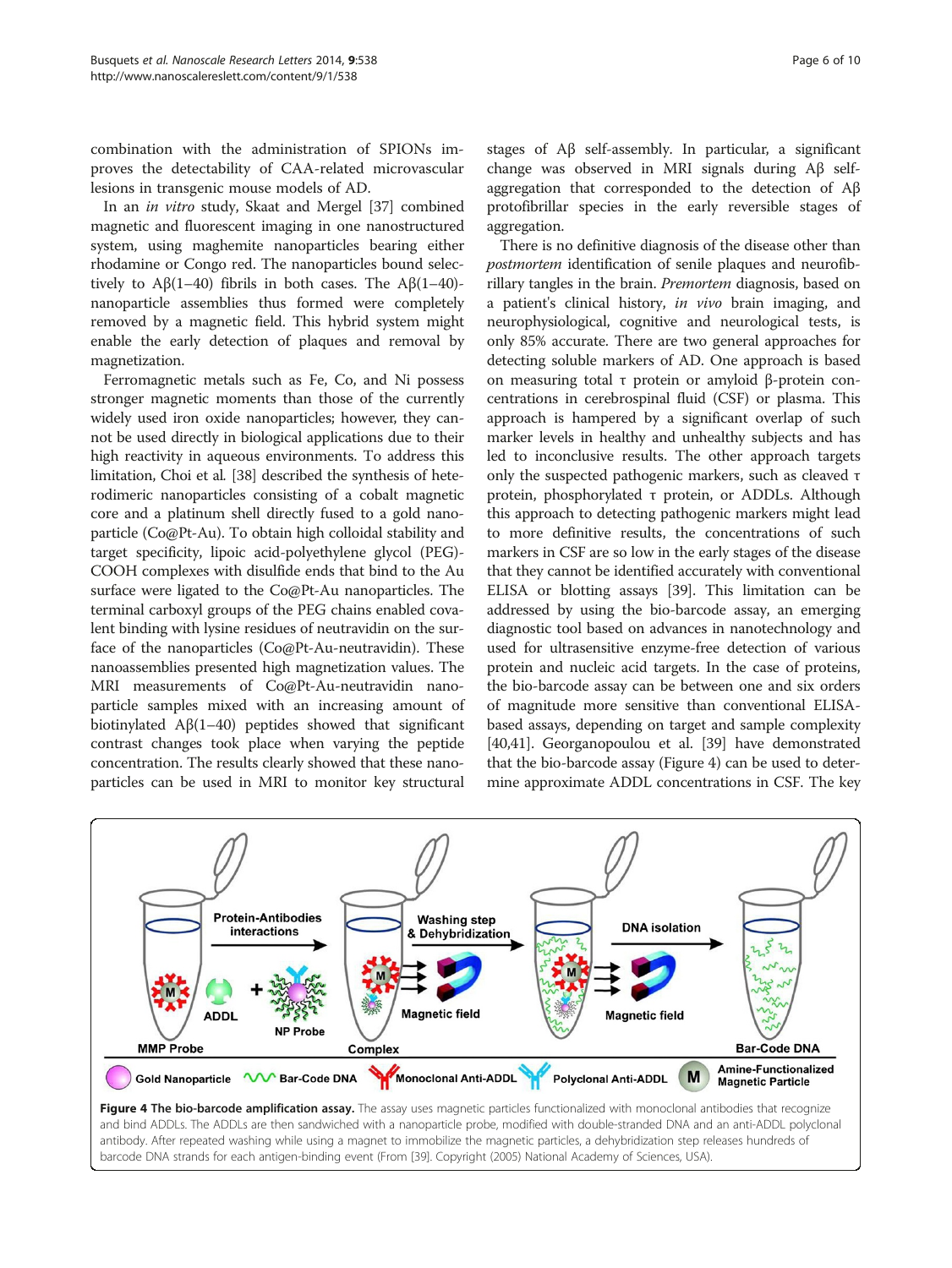combination with the administration of SPIONs improves the detectability of CAA-related microvascular lesions in transgenic mouse models of AD.

In an in vitro study, Skaat and Mergel [[37](#page-9-0)] combined magnetic and fluorescent imaging in one nanostructured system, using maghemite nanoparticles bearing either rhodamine or Congo red. The nanoparticles bound selectively to  $A\beta(1-40)$  fibrils in both cases. The  $A\beta(1-40)$ nanoparticle assemblies thus formed were completely removed by a magnetic field. This hybrid system might enable the early detection of plaques and removal by magnetization.

Ferromagnetic metals such as Fe, Co, and Ni possess stronger magnetic moments than those of the currently widely used iron oxide nanoparticles; however, they cannot be used directly in biological applications due to their high reactivity in aqueous environments. To address this limitation, Choi et al. [\[38\]](#page-9-0) described the synthesis of heterodimeric nanoparticles consisting of a cobalt magnetic core and a platinum shell directly fused to a gold nanoparticle (Co@Pt-Au). To obtain high colloidal stability and target specificity, lipoic acid-polyethylene glycol (PEG)- COOH complexes with disulfide ends that bind to the Au surface were ligated to the Co@Pt-Au nanoparticles. The terminal carboxyl groups of the PEG chains enabled covalent binding with lysine residues of neutravidin on the surface of the nanoparticles (Co@Pt-Au-neutravidin). These nanoassemblies presented high magnetization values. The MRI measurements of Co@Pt-Au-neutravidin nanoparticle samples mixed with an increasing amount of biotinylated  $\text{A}\beta(1-40)$  peptides showed that significant contrast changes took place when varying the peptide concentration. The results clearly showed that these nanoparticles can be used in MRI to monitor key structural

stages of Aβ self-assembly. In particular, a significant change was observed in MRI signals during Aβ selfaggregation that corresponded to the detection of Aβ protofibrillar species in the early reversible stages of aggregation.

There is no definitive diagnosis of the disease other than postmortem identification of senile plaques and neurofibrillary tangles in the brain. Premortem diagnosis, based on a patient's clinical history, in vivo brain imaging, and neurophysiological, cognitive and neurological tests, is only 85% accurate. There are two general approaches for detecting soluble markers of AD. One approach is based on measuring total τ protein or amyloid β-protein concentrations in cerebrospinal fluid (CSF) or plasma. This approach is hampered by a significant overlap of such marker levels in healthy and unhealthy subjects and has led to inconclusive results. The other approach targets only the suspected pathogenic markers, such as cleaved τ protein, phosphorylated τ protein, or ADDLs. Although this approach to detecting pathogenic markers might lead to more definitive results, the concentrations of such markers in CSF are so low in the early stages of the disease that they cannot be identified accurately with conventional ELISA or blotting assays [[39](#page-9-0)]. This limitation can be addressed by using the bio-barcode assay, an emerging diagnostic tool based on advances in nanotechnology and used for ultrasensitive enzyme-free detection of various protein and nucleic acid targets. In the case of proteins, the bio-barcode assay can be between one and six orders of magnitude more sensitive than conventional ELISAbased assays, depending on target and sample complexity [[40](#page-9-0),[41](#page-9-0)]. Georganopoulou et al. [\[39\]](#page-9-0) have demonstrated that the bio-barcode assay (Figure 4) can be used to determine approximate ADDL concentrations in CSF. The key



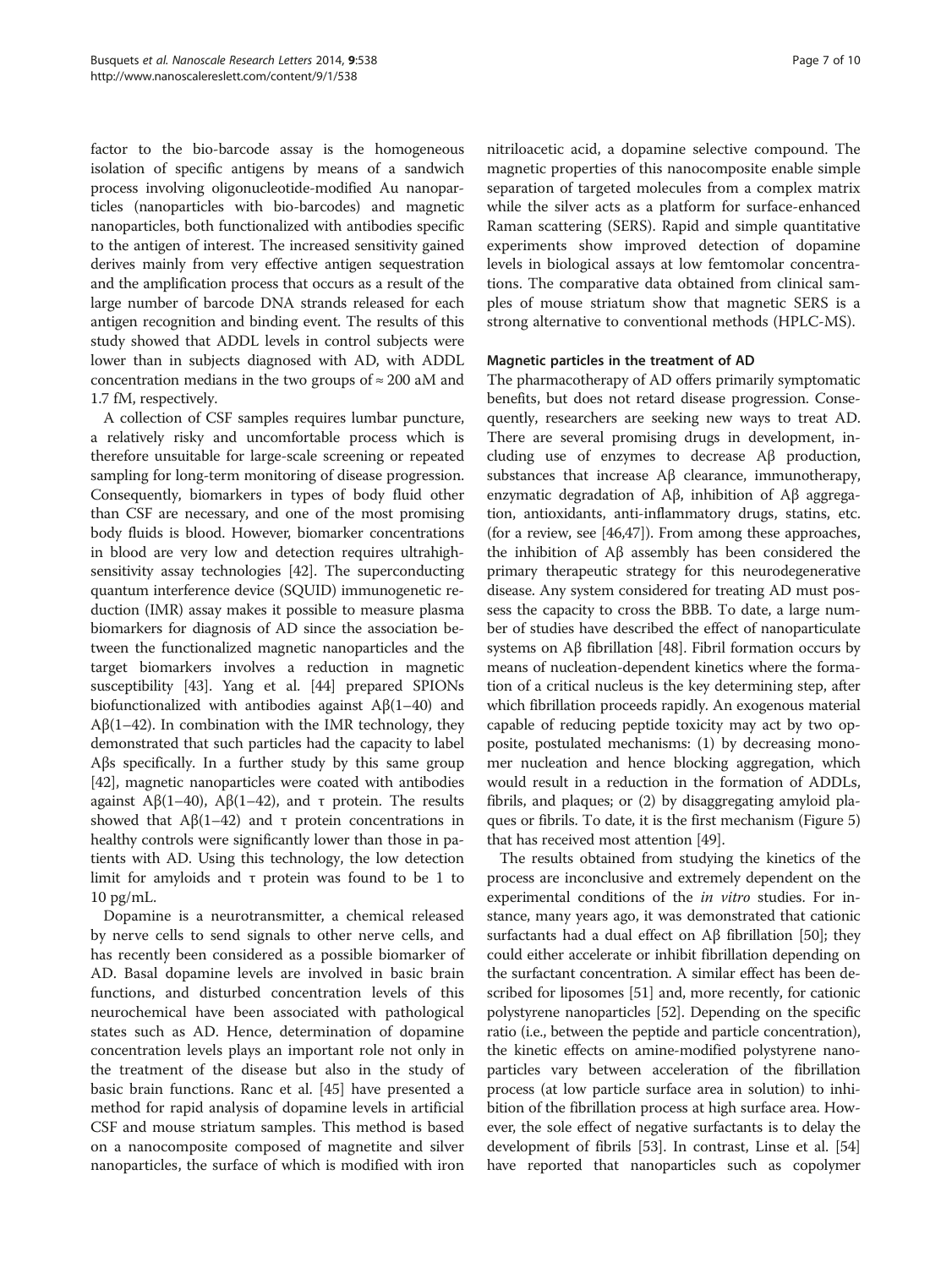factor to the bio-barcode assay is the homogeneous isolation of specific antigens by means of a sandwich process involving oligonucleotide-modified Au nanoparticles (nanoparticles with bio-barcodes) and magnetic nanoparticles, both functionalized with antibodies specific to the antigen of interest. The increased sensitivity gained derives mainly from very effective antigen sequestration and the amplification process that occurs as a result of the large number of barcode DNA strands released for each antigen recognition and binding event. The results of this study showed that ADDL levels in control subjects were lower than in subjects diagnosed with AD, with ADDL concentration medians in the two groups of  $\approx 200$  aM and 1.7 fM, respectively.

A collection of CSF samples requires lumbar puncture, a relatively risky and uncomfortable process which is therefore unsuitable for large-scale screening or repeated sampling for long-term monitoring of disease progression. Consequently, biomarkers in types of body fluid other than CSF are necessary, and one of the most promising body fluids is blood. However, biomarker concentrations in blood are very low and detection requires ultrahighsensitivity assay technologies [[42](#page-9-0)]. The superconducting quantum interference device (SQUID) immunogenetic reduction (IMR) assay makes it possible to measure plasma biomarkers for diagnosis of AD since the association between the functionalized magnetic nanoparticles and the target biomarkers involves a reduction in magnetic susceptibility [\[43\]](#page-9-0). Yang et al. [\[44\]](#page-9-0) prepared SPIONs biofunctionalized with antibodies against  $A\beta(1-40)$  and Aβ(1–42). In combination with the IMR technology, they demonstrated that such particles had the capacity to label Aβs specifically. In a further study by this same group [[42](#page-9-0)], magnetic nanoparticles were coated with antibodies against Aβ(1–40), Aβ(1–42), and τ protein. The results showed that  $A\beta(1-42)$  and τ protein concentrations in healthy controls were significantly lower than those in patients with AD. Using this technology, the low detection limit for amyloids and τ protein was found to be 1 to 10 pg/mL.

Dopamine is a neurotransmitter, a chemical released by nerve cells to send signals to other nerve cells, and has recently been considered as a possible biomarker of AD. Basal dopamine levels are involved in basic brain functions, and disturbed concentration levels of this neurochemical have been associated with pathological states such as AD. Hence, determination of dopamine concentration levels plays an important role not only in the treatment of the disease but also in the study of basic brain functions. Ranc et al. [[45\]](#page-9-0) have presented a method for rapid analysis of dopamine levels in artificial CSF and mouse striatum samples. This method is based on a nanocomposite composed of magnetite and silver nanoparticles, the surface of which is modified with iron

nitriloacetic acid, a dopamine selective compound. The magnetic properties of this nanocomposite enable simple separation of targeted molecules from a complex matrix while the silver acts as a platform for surface-enhanced Raman scattering (SERS). Rapid and simple quantitative experiments show improved detection of dopamine levels in biological assays at low femtomolar concentrations. The comparative data obtained from clinical samples of mouse striatum show that magnetic SERS is a strong alternative to conventional methods (HPLC-MS).

# Magnetic particles in the treatment of AD

The pharmacotherapy of AD offers primarily symptomatic benefits, but does not retard disease progression. Consequently, researchers are seeking new ways to treat AD. There are several promising drugs in development, including use of enzymes to decrease Aβ production, substances that increase Aβ clearance, immunotherapy, enzymatic degradation of Aβ, inhibition of Aβ aggregation, antioxidants, anti-inflammatory drugs, statins, etc. (for a review, see [\[46,47\]](#page-9-0)). From among these approaches, the inhibition of Aβ assembly has been considered the primary therapeutic strategy for this neurodegenerative disease. Any system considered for treating AD must possess the capacity to cross the BBB. To date, a large number of studies have described the effect of nanoparticulate systems on Aβ fibrillation [\[48\]](#page-9-0). Fibril formation occurs by means of nucleation-dependent kinetics where the formation of a critical nucleus is the key determining step, after which fibrillation proceeds rapidly. An exogenous material capable of reducing peptide toxicity may act by two opposite, postulated mechanisms: (1) by decreasing monomer nucleation and hence blocking aggregation, which would result in a reduction in the formation of ADDLs, fibrils, and plaques; or (2) by disaggregating amyloid plaques or fibrils. To date, it is the first mechanism (Figure [5](#page-7-0)) that has received most attention [[49](#page-9-0)].

The results obtained from studying the kinetics of the process are inconclusive and extremely dependent on the experimental conditions of the *in vitro* studies. For instance, many years ago, it was demonstrated that cationic surfactants had a dual effect on  $\text{A}\beta$  fibrillation [\[50\]](#page-9-0); they could either accelerate or inhibit fibrillation depending on the surfactant concentration. A similar effect has been described for liposomes [[51](#page-9-0)] and, more recently, for cationic polystyrene nanoparticles [[52](#page-9-0)]. Depending on the specific ratio (i.e., between the peptide and particle concentration), the kinetic effects on amine-modified polystyrene nanoparticles vary between acceleration of the fibrillation process (at low particle surface area in solution) to inhibition of the fibrillation process at high surface area. However, the sole effect of negative surfactants is to delay the development of fibrils [\[53\]](#page-9-0). In contrast, Linse et al. [[54](#page-9-0)] have reported that nanoparticles such as copolymer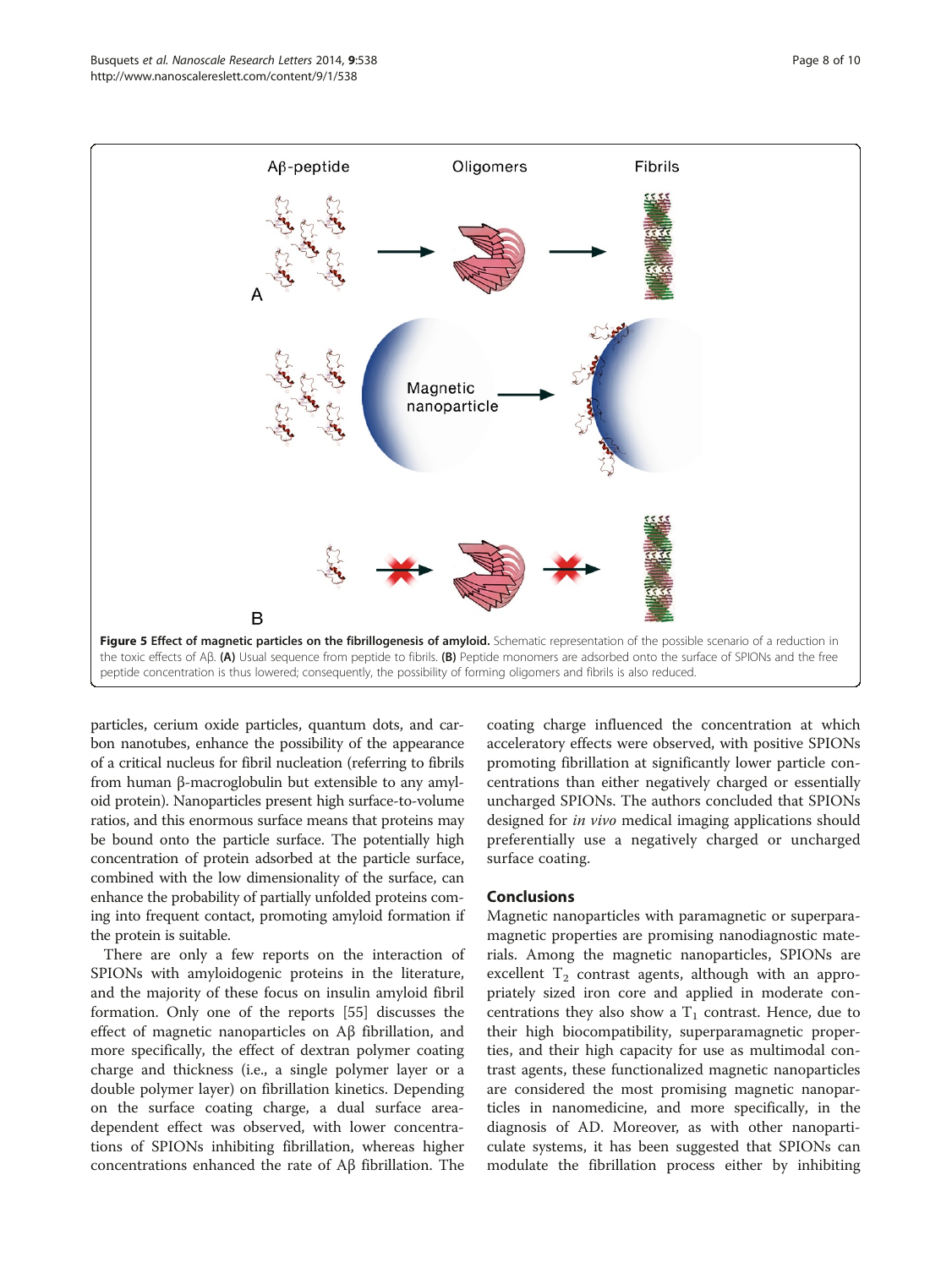<span id="page-7-0"></span>

particles, cerium oxide particles, quantum dots, and carbon nanotubes, enhance the possibility of the appearance of a critical nucleus for fibril nucleation (referring to fibrils from human β-macroglobulin but extensible to any amyloid protein). Nanoparticles present high surface-to-volume ratios, and this enormous surface means that proteins may be bound onto the particle surface. The potentially high concentration of protein adsorbed at the particle surface, combined with the low dimensionality of the surface, can enhance the probability of partially unfolded proteins coming into frequent contact, promoting amyloid formation if the protein is suitable.

There are only a few reports on the interaction of SPIONs with amyloidogenic proteins in the literature, and the majority of these focus on insulin amyloid fibril formation. Only one of the reports [[55](#page-9-0)] discusses the effect of magnetic nanoparticles on Aβ fibrillation, and more specifically, the effect of dextran polymer coating charge and thickness (i.e., a single polymer layer or a double polymer layer) on fibrillation kinetics. Depending on the surface coating charge, a dual surface areadependent effect was observed, with lower concentrations of SPIONs inhibiting fibrillation, whereas higher concentrations enhanced the rate of Aβ fibrillation. The

coating charge influenced the concentration at which acceleratory effects were observed, with positive SPIONs promoting fibrillation at significantly lower particle concentrations than either negatively charged or essentially uncharged SPIONs. The authors concluded that SPIONs designed for *in vivo* medical imaging applications should preferentially use a negatively charged or uncharged surface coating.

Magnetic nanoparticles with paramagnetic or superparamagnetic properties are promising nanodiagnostic materials. Among the magnetic nanoparticles, SPIONs are excellent  $T_2$  contrast agents, although with an appropriately sized iron core and applied in moderate concentrations they also show a  $T_1$  contrast. Hence, due to their high biocompatibility, superparamagnetic properties, and their high capacity for use as multimodal contrast agents, these functionalized magnetic nanoparticles are considered the most promising magnetic nanoparticles in nanomedicine, and more specifically, in the diagnosis of AD. Moreover, as with other nanoparticulate systems, it has been suggested that SPIONs can modulate the fibrillation process either by inhibiting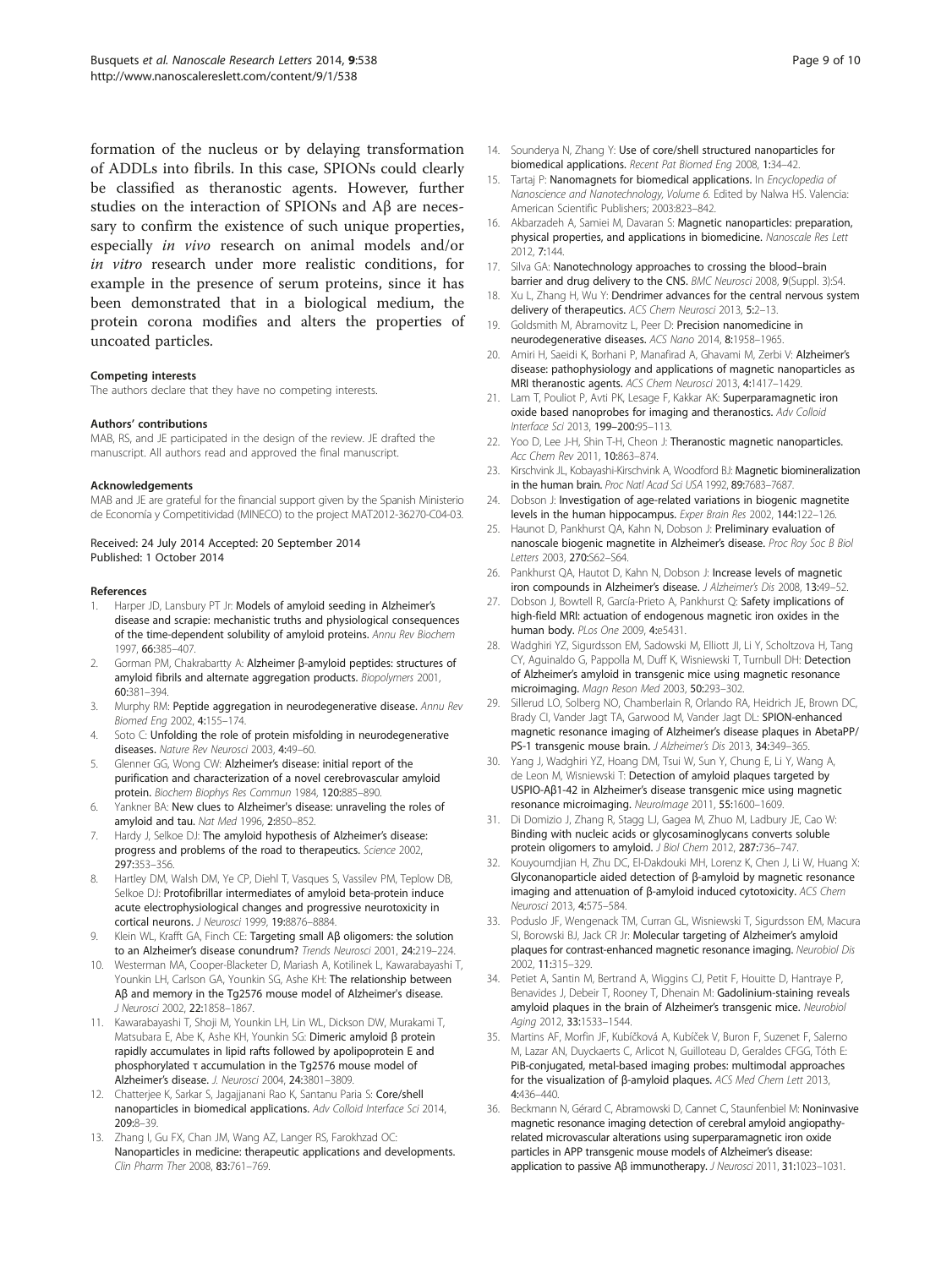<span id="page-8-0"></span>formation of the nucleus or by delaying transformation of ADDLs into fibrils. In this case, SPIONs could clearly be classified as theranostic agents. However, further studies on the interaction of SPIONs and Aβ are necessary to confirm the existence of such unique properties, especially in vivo research on animal models and/or in vitro research under more realistic conditions, for example in the presence of serum proteins, since it has been demonstrated that in a biological medium, the protein corona modifies and alters the properties of uncoated particles.

### Competing interests

The authors declare that they have no competing interests.

## Authors' contributions

MAB, RS, and JE participated in the design of the review. JE drafted the manuscript. All authors read and approved the final manuscript.

### Acknowledgements

MAB and JE are grateful for the financial support given by the Spanish Ministerio de Economía y Competitividad (MINECO) to the project MAT2012-36270-C04-03.

### Received: 24 July 2014 Accepted: 20 September 2014 Published: 1 October 2014

### References

- Harper JD, Lansbury PT Jr: Models of amyloid seeding in Alzheimer's disease and scrapie: mechanistic truths and physiological consequences of the time-dependent solubility of amyloid proteins. Annu Rev Biochem 1997, 66:385–407.
- 2. Gorman PM, Chakrabartty A: Alzheimer β-amyloid peptides: structures of amyloid fibrils and alternate aggregation products. Biopolymers 2001, 60:381–394.
- Murphy RM: Peptide aggregation in neurodegenerative disease. Annu Rev Biomed Eng 2002, 4:155–174.
- Soto C: Unfolding the role of protein misfolding in neurodegenerative diseases. Nature Rev Neurosci 2003, 4:49–60.
- 5. Glenner GG, Wong CW: Alzheimer's disease: initial report of the purification and characterization of a novel cerebrovascular amyloid protein. Biochem Biophys Res Commun 1984, 120:885–890.
- 6. Yankner BA: New clues to Alzheimer's disease: unraveling the roles of amyloid and tau. Nat Med 1996, 2:850–852.
- Hardy J, Selkoe DJ: The amyloid hypothesis of Alzheimer's disease: progress and problems of the road to therapeutics. Science 2002, 297:353–356.
- 8. Hartley DM, Walsh DM, Ye CP, Diehl T, Vasques S, Vassilev PM, Teplow DB, Selkoe DJ: Protofibrillar intermediates of amyloid beta-protein induce acute electrophysiological changes and progressive neurotoxicity in cortical neurons. J Neurosci 1999, 19:8876–8884.
- Klein WL, Krafft GA, Finch CE: Targeting small Aβ oligomers: the solution to an Alzheimer's disease conundrum? Trends Neurosci 2001, 24:219–224.
- 10. Westerman MA, Cooper-Blacketer D, Mariash A, Kotilinek L, Kawarabayashi T, Younkin LH, Carlson GA, Younkin SG, Ashe KH: The relationship between Aβ and memory in the Tg2576 mouse model of Alzheimer's disease. J Neurosci 2002, 22:1858–1867.
- 11. Kawarabayashi T, Shoji M, Younkin LH, Lin WL, Dickson DW, Murakami T, Matsubara E, Abe K, Ashe KH, Younkin SG: Dimeric amyloid β protein rapidly accumulates in lipid rafts followed by apolipoprotein E and phosphorylated τ accumulation in the Tg2576 mouse model of Alzheimer's disease. J. Neurosci 2004, 24:3801–3809.
- 12. Chatterjee K, Sarkar S, Jagajjanani Rao K, Santanu Paria S: Core/shell nanoparticles in biomedical applications. Adv Colloid Interface Sci 2014, 209:8–39.
- 13. Zhang I, Gu FX, Chan JM, Wang AZ, Langer RS, Farokhzad OC: Nanoparticles in medicine: therapeutic applications and developments. Clin Pharm Ther 2008, 83:761–769.
- 14. Sounderya N, Zhang Y: Use of core/shell structured nanoparticles for biomedical applications. Recent Pat Biomed Eng 2008, 1:34–42.
- 15. Tartaj P: Nanomagnets for biomedical applications. In Encyclopedia of Nanoscience and Nanotechnology, Volume 6. Edited by Nalwa HS. Valencia: American Scientific Publishers; 2003:823–842.
- 16. Akbarzadeh A, Samiei M, Davaran S: Magnetic nanoparticles: preparation, physical properties, and applications in biomedicine. Nanoscale Res Lett 2012, 7:144.
- 17. Silva GA: Nanotechnology approaches to crossing the blood–brain barrier and drug delivery to the CNS. BMC Neurosci 2008, 9(Suppl. 3):S4.
- 18. Xu L, Zhang H, Wu Y: Dendrimer advances for the central nervous system delivery of therapeutics. ACS Chem Neurosci 2013, 5:2-13.
- 19. Goldsmith M, Abramovitz L, Peer D: Precision nanomedicine in neurodegenerative diseases. ACS Nano 2014, 8:1958–1965.
- 20. Amiri H, Saeidi K, Borhani P, Manafirad A, Ghavami M, Zerbi V; Alzheimer's disease: pathophysiology and applications of magnetic nanoparticles as MRI theranostic agents. ACS Chem Neurosci 2013, 4:1417–1429.
- 21. Lam T, Pouliot P, Avti PK, Lesage F, Kakkar AK: Superparamagnetic iron oxide based nanoprobes for imaging and theranostics. Adv Colloid Interface Sci 2013, 199–200:95–113.
- 22. Yoo D, Lee J-H, Shin T-H, Cheon J: Theranostic magnetic nanoparticles. Acc Chem Rev 2011, 10:863–874.
- 23. Kirschvink JL, Kobayashi-Kirschvink A, Woodford BJ: Magnetic biomineralization in the human brain. Proc Natl Acad Sci USA 1992, 89:7683–7687.
- 24. Dobson J: Investigation of age-related variations in biogenic magnetite levels in the human hippocampus. Exper Brain Res 2002, 144:122–126.
- 25. Haunot D, Pankhurst QA, Kahn N, Dobson J: Preliminary evaluation of nanoscale biogenic magnetite in Alzheimer's disease. Proc Roy Soc B Biol Letters 2003, 270:S62–S64.
- 26. Pankhurst QA, Hautot D, Kahn N, Dobson J: Increase levels of magnetic iron compounds in Alzheimer's disease. J Alzheimer's Dis 2008, 13:49–52.
- 27. Dobson J, Bowtell R, García-Prieto A, Pankhurst Q: Safety implications of high-field MRI: actuation of endogenous magnetic iron oxides in the human body. PLos One 2009, 4:e5431.
- 28. Wadghiri YZ, Sigurdsson EM, Sadowski M, Elliott JI, Li Y, Scholtzova H, Tang CY, Aguinaldo G, Pappolla M, Duff K, Wisniewski T, Turnbull DH: Detection of Alzheimer's amyloid in transgenic mice using magnetic resonance microimaging. Magn Reson Med 2003, 50:293–302.
- 29. Sillerud LO, Solberg NO, Chamberlain R, Orlando RA, Heidrich JE, Brown DC, Brady CI, Vander Jagt TA, Garwood M, Vander Jagt DL: SPION-enhanced magnetic resonance imaging of Alzheimer's disease plaques in AbetaPP/ PS-1 transgenic mouse brain. J Alzheimer's Dis 2013, 34:349-365.
- 30. Yang J, Wadghiri YZ, Hoang DM, Tsui W, Sun Y, Chung E, Li Y, Wang A, de Leon M, Wisniewski T: Detection of amyloid plaques targeted by USPIO-Aβ1-42 in Alzheimer's disease transgenic mice using magnetic resonance microimaging. NeuroImage 2011, 55:1600-1609.
- 31. Di Domizio J, Zhang R, Stagg LJ, Gagea M, Zhuo M, Ladbury JE, Cao W: Binding with nucleic acids or glycosaminoglycans converts soluble protein oligomers to amyloid. J Biol Chem 2012, 287:736-747.
- 32. Kouyoumdjian H, Zhu DC, El-Dakdouki MH, Lorenz K, Chen J, Li W, Huang X: Glyconanoparticle aided detection of β-amyloid by magnetic resonance imaging and attenuation of β-amyloid induced cytotoxicity. ACS Chem Neurosci 2013, 4:575–584.
- 33. Poduslo JF, Wengenack TM, Curran GL, Wisniewski T, Sigurdsson EM, Macura SI, Borowski BJ, Jack CR Jr: Molecular targeting of Alzheimer's amyloid plaques for contrast-enhanced magnetic resonance imaging. Neurobiol Dis 2002, 11:315–329.
- 34. Petiet A, Santin M, Bertrand A, Wiggins CJ, Petit F, Houitte D, Hantraye P, Benavides J, Debeir T, Rooney T, Dhenain M: Gadolinium-staining reveals amyloid plaques in the brain of Alzheimer's transgenic mice. Neurobiol Aging 2012, 33:1533-1544.
- 35. Martins AF, Morfin JF, Kubíčková A, Kubíček V, Buron F, Suzenet F, Salerno M, Lazar AN, Duyckaerts C, Arlicot N, Guilloteau D, Geraldes CFGG, Tóth E: PiB-conjugated, metal-based imaging probes: multimodal approaches for the visualization of β-amyloid plaques. ACS Med Chem Lett 2013, 4:436–440.
- 36. Beckmann N, Gérard C, Abramowski D, Cannet C, Staunfenbiel M: Noninvasive magnetic resonance imaging detection of cerebral amyloid angiopathyrelated microvascular alterations using superparamagnetic iron oxide particles in APP transgenic mouse models of Alzheimer's disease: application to passive Aβ immunotherapy. J Neurosci 2011, 31:1023–1031.